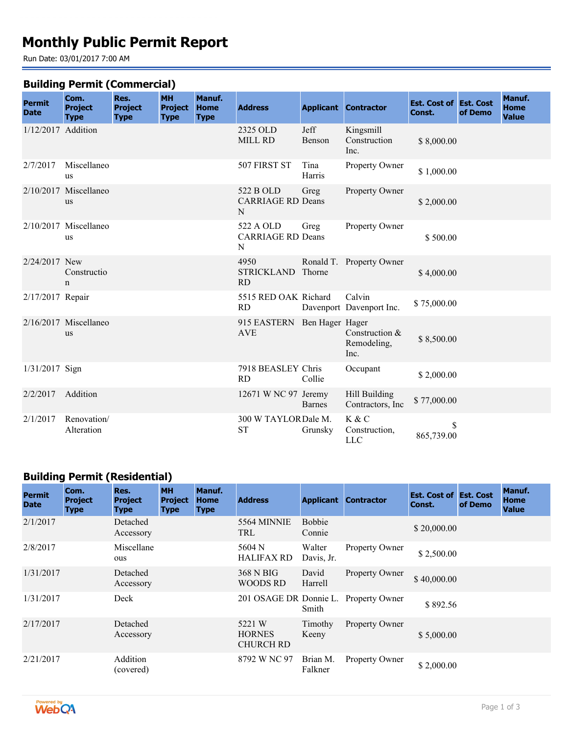# **Monthly Public Permit Report**

Run Date: 03/01/2017 7:00 AM

#### **Building Permit (Commercial)**

| <b>Permit</b><br><b>Date</b> | Com.<br><b>Project</b><br><b>Type</b> | Res.<br><b>Project</b><br><b>Type</b> | <b>MH</b><br><b>Project</b><br><b>Type</b> | Manuf.<br><b>Home</b><br><b>Type</b> | <b>Address</b>                             |                | <b>Applicant Contractor</b>             | <b>Est. Cost of Est. Cost</b><br>Const. | of Demo | Manuf.<br><b>Home</b><br><b>Value</b> |
|------------------------------|---------------------------------------|---------------------------------------|--------------------------------------------|--------------------------------------|--------------------------------------------|----------------|-----------------------------------------|-----------------------------------------|---------|---------------------------------------|
| 1/12/2017 Addition           |                                       |                                       |                                            |                                      | 2325 OLD<br><b>MILL RD</b>                 | Jeff<br>Benson | Kingsmill<br>Construction<br>Inc.       | \$8,000.00                              |         |                                       |
| 2/7/2017                     | Miscellaneo<br>us                     |                                       |                                            |                                      | 507 FIRST ST                               | Tina<br>Harris | Property Owner                          | \$1,000.00                              |         |                                       |
|                              | $2/10/2017$ Miscellaneo<br>us         |                                       |                                            |                                      | 522 B OLD<br><b>CARRIAGE RD Deans</b><br>N | Greg           | Property Owner                          | \$2,000.00                              |         |                                       |
|                              | 2/10/2017 Miscellaneo<br>us           |                                       |                                            |                                      | 522 A OLD<br><b>CARRIAGE RD Deans</b><br>N | Greg           | Property Owner                          | \$500.00                                |         |                                       |
| 2/24/2017 New                | Constructio<br>n                      |                                       |                                            |                                      | 4950<br><b>STRICKLAND</b><br>RD            | Thorne         | Ronald T. Property Owner                | \$4,000.00                              |         |                                       |
| 2/17/2017 Repair             |                                       |                                       |                                            |                                      | 5515 RED OAK Richard<br><b>RD</b>          |                | Calvin<br>Davenport Davenport Inc.      | \$75,000.00                             |         |                                       |
|                              | 2/16/2017 Miscellaneo<br><b>us</b>    |                                       |                                            |                                      | 915 EASTERN Ben Hager Hager<br><b>AVE</b>  |                | Construction $&$<br>Remodeling,<br>Inc. | \$8,500.00                              |         |                                       |
| $1/31/2017$ Sign             |                                       |                                       |                                            |                                      | 7918 BEASLEY Chris<br><b>RD</b>            | Collie         | Occupant                                | \$2,000.00                              |         |                                       |
| 2/2/2017                     | Addition                              |                                       |                                            |                                      | 12671 W NC 97 Jeremy                       | <b>Barnes</b>  | Hill Building<br>Contractors, Inc.      | \$77,000.00                             |         |                                       |
| 2/1/2017                     | Renovation/<br>Alteration             |                                       |                                            |                                      | 300 W TAYLOR Dale M.<br><b>ST</b>          | Grunsky        | K & C<br>Construction,<br><b>LLC</b>    | \$<br>865,739.00                        |         |                                       |

## **Building Permit (Residential)**

| <b>Permit</b><br><b>Date</b> | Com.<br><b>Project</b><br><b>Type</b> | Res.<br><b>Project</b><br><b>Type</b> | <b>MH</b><br><b>Project</b><br><b>Type</b> | Manuf.<br><b>Home</b><br><b>Type</b> | <b>Address</b>                              | <b>Applicant</b>        | <b>Contractor</b> | <b>Est. Cost of Est. Cost</b><br>Const. | of Demo | Manuf.<br>Home<br><b>Value</b> |
|------------------------------|---------------------------------------|---------------------------------------|--------------------------------------------|--------------------------------------|---------------------------------------------|-------------------------|-------------------|-----------------------------------------|---------|--------------------------------|
| 2/1/2017                     |                                       | Detached<br>Accessory                 |                                            |                                      | 5564 MINNIE<br><b>TRL</b>                   | <b>Bobbie</b><br>Connie |                   | \$20,000.00                             |         |                                |
| 2/8/2017                     |                                       | Miscellane<br>ous                     |                                            |                                      | 5604 N<br><b>HALIFAX RD</b>                 | Walter<br>Davis, Jr.    | Property Owner    | \$2,500.00                              |         |                                |
| 1/31/2017                    |                                       | Detached<br>Accessory                 |                                            |                                      | 368 N BIG<br>WOODS RD                       | David<br>Harrell        | Property Owner    | \$40,000.00                             |         |                                |
| 1/31/2017                    |                                       | Deck                                  |                                            |                                      | 201 OSAGE DR Donnie L.                      | Smith                   | Property Owner    | \$892.56                                |         |                                |
| 2/17/2017                    |                                       | Detached<br>Accessory                 |                                            |                                      | 5221 W<br><b>HORNES</b><br><b>CHURCH RD</b> | Timothy<br>Keeny        | Property Owner    | \$5,000.00                              |         |                                |
| 2/21/2017                    |                                       | Addition<br>(covered)                 |                                            |                                      | 8792 W NC 97                                | Brian M.<br>Falkner     | Property Owner    | \$2,000.00                              |         |                                |

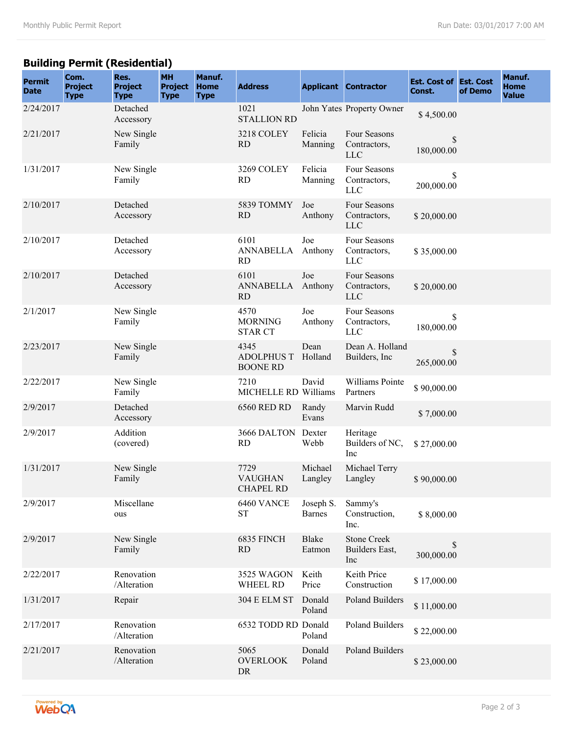## **Building Permit (Residential)**

| <b>Permit</b><br><b>Date</b> | Com.<br><b>Project</b><br><b>Type</b> | Res.<br><b>Project</b><br><b>Type</b> | <b>MH</b><br><b>Project</b><br><b>Type</b> | Manuf.<br><b>Home</b><br><b>Type</b> | <b>Address</b>                               |                            | <b>Applicant Contractor</b>                 | <b>Est. Cost of Est. Cost</b><br>Const. | of Demo | Manuf.<br><b>Home</b><br><b>Value</b> |
|------------------------------|---------------------------------------|---------------------------------------|--------------------------------------------|--------------------------------------|----------------------------------------------|----------------------------|---------------------------------------------|-----------------------------------------|---------|---------------------------------------|
| 2/24/2017                    |                                       | Detached<br>Accessory                 |                                            |                                      | 1021<br><b>STALLION RD</b>                   |                            | John Yates Property Owner                   | \$4,500.00                              |         |                                       |
| 2/21/2017                    |                                       | New Single<br>Family                  |                                            |                                      | 3218 COLEY<br><b>RD</b>                      | Felicia<br>Manning         | Four Seasons<br>Contractors,<br><b>LLC</b>  | \$<br>180,000.00                        |         |                                       |
| 1/31/2017                    |                                       | New Single<br>Family                  |                                            |                                      | 3269 COLEY<br><b>RD</b>                      | Felicia<br>Manning         | Four Seasons<br>Contractors,<br>LLC         | $\mathbb{S}$<br>200,000.00              |         |                                       |
| 2/10/2017                    |                                       | Detached<br>Accessory                 |                                            |                                      | 5839 TOMMY<br><b>RD</b>                      | Joe<br>Anthony             | Four Seasons<br>Contractors,<br><b>LLC</b>  | \$20,000.00                             |         |                                       |
| 2/10/2017                    |                                       | Detached<br>Accessory                 |                                            |                                      | 6101<br><b>ANNABELLA</b><br><b>RD</b>        | Joe<br>Anthony             | Four Seasons<br>Contractors,<br><b>LLC</b>  | \$35,000.00                             |         |                                       |
| 2/10/2017                    |                                       | Detached<br>Accessory                 |                                            |                                      | 6101<br>ANNABELLA Anthony<br>RD              | Joe                        | Four Seasons<br>Contractors,<br><b>LLC</b>  | \$20,000.00                             |         |                                       |
| 2/1/2017                     |                                       | New Single<br>Family                  |                                            |                                      | 4570<br><b>MORNING</b><br><b>STAR CT</b>     | Joe<br>Anthony             | Four Seasons<br>Contractors,<br><b>LLC</b>  | \$<br>180,000.00                        |         |                                       |
| 2/23/2017                    |                                       | New Single<br>Family                  |                                            |                                      | 4345<br><b>ADOLPHUS T</b><br><b>BOONE RD</b> | Dean<br>Holland            | Dean A. Holland<br>Builders, Inc.           | \$<br>265,000.00                        |         |                                       |
| 2/22/2017                    |                                       | New Single<br>Family                  |                                            |                                      | 7210<br>MICHELLE RD Williams                 | David                      | Williams Pointe<br>Partners                 | \$90,000.00                             |         |                                       |
| 2/9/2017                     |                                       | Detached<br>Accessory                 |                                            |                                      | <b>6560 RED RD</b>                           | Randy<br>Evans             | Marvin Rudd                                 | \$7,000.00                              |         |                                       |
| 2/9/2017                     |                                       | Addition<br>(covered)                 |                                            |                                      | 3666 DALTON Dexter<br><b>RD</b>              | Webb                       | Heritage<br>Builders of NC,<br>Inc          | \$27,000.00                             |         |                                       |
| 1/31/2017                    |                                       | New Single<br>Family                  |                                            |                                      | 7729<br><b>VAUGHAN</b><br>CHAPEL RD          | Michael<br>Langley         | Michael Terry<br>Langley                    | \$90,000.00                             |         |                                       |
| 2/9/2017                     |                                       | Miscellane<br>ous                     |                                            |                                      | 6460 VANCE<br><b>ST</b>                      | Joseph S.<br><b>Barnes</b> | Sammy's<br>Construction,<br>Inc.            | \$8,000.00                              |         |                                       |
| 2/9/2017                     |                                       | New Single<br>Family                  |                                            |                                      | 6835 FINCH<br>RD                             | Blake<br>Eatmon            | <b>Stone Creek</b><br>Builders East,<br>Inc | \$<br>300,000.00                        |         |                                       |
| 2/22/2017                    |                                       | Renovation<br>/Alteration             |                                            |                                      | 3525 WAGON<br>WHEEL RD                       | Keith<br>Price             | Keith Price<br>Construction                 | \$17,000.00                             |         |                                       |
| 1/31/2017                    |                                       | Repair                                |                                            |                                      | <b>304 E ELM ST</b>                          | Donald<br>Poland           | <b>Poland Builders</b>                      | \$11,000.00                             |         |                                       |
| 2/17/2017                    |                                       | Renovation<br>/Alteration             |                                            |                                      | 6532 TODD RD Donald                          | Poland                     | Poland Builders                             | \$22,000.00                             |         |                                       |
| 2/21/2017                    |                                       | Renovation<br>/Alteration             |                                            |                                      | 5065<br><b>OVERLOOK</b><br>${\rm DR}$        | Donald<br>Poland           | <b>Poland Builders</b>                      | \$23,000.00                             |         |                                       |